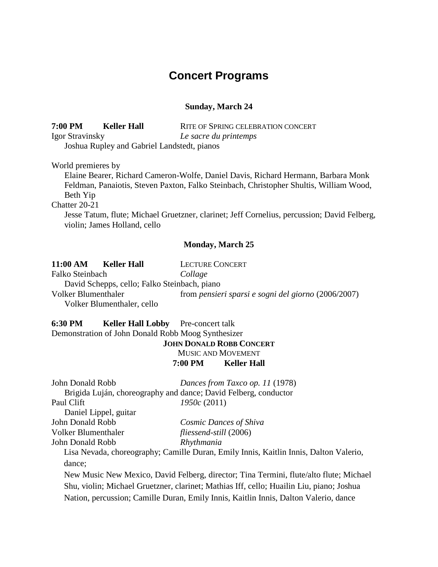# **Concert Programs**

# **Sunday, March 24**

**7:00 PM Keller Hall** RITE OF SPRING CELEBRATION CONCERT Igor Stravinsky *Le sacre du printemps* Joshua Rupley and Gabriel Landstedt, pianos

World premieres by

Elaine Bearer, Richard Cameron-Wolfe, Daniel Davis, Richard Hermann, Barbara Monk Feldman, Panaiotis, Steven Paxton, Falko Steinbach, Christopher Shultis, William Wood, Beth Yip

Chatter 20-21

Jesse Tatum, flute; Michael Gruetzner, clarinet; Jeff Cornelius, percussion; David Felberg, violin; James Holland, cello

### **Monday, March 25**

| 11:00 AM<br><b>Keller Hall</b>               | <b>LECTURE CONCERT</b>                              |
|----------------------------------------------|-----------------------------------------------------|
| Falko Steinbach                              | Collage                                             |
| David Schepps, cello; Falko Steinbach, piano |                                                     |
| Volker Blumenthaler                          | from pensieri sparsi e sogni del giorno (2006/2007) |
| Volker Blumenthaler, cello                   |                                                     |

**6:30 PM Keller Hall Lobby** Pre-concert talk Demonstration of John Donald Robb Moog Synthesizer

**JOHN DONALD ROBB CONCERT** MUSIC AND MOVEMENT **7:00 PM Keller Hall**

| John Donald Robb      | Dances from Taxco op. 11 (1978)                                                       |
|-----------------------|---------------------------------------------------------------------------------------|
|                       | Brigida Luján, choreography and dance; David Felberg, conductor                       |
| Paul Clift            | 1950c(2011)                                                                           |
| Daniel Lippel, guitar |                                                                                       |
| John Donald Robb      | Cosmic Dances of Shiva                                                                |
| Volker Blumenthaler   | fliessend-still (2006)                                                                |
| John Donald Robb      | Rhythmania                                                                            |
|                       | Lisa Nevada, choreography; Camille Duran, Emily Innis, Kaitlin Innis, Dalton Valerio, |
| dance;                |                                                                                       |

New Music New Mexico, David Felberg, director; Tina Termini, flute/alto flute; Michael Shu, violin; Michael Gruetzner, clarinet; Mathias Iff, cello; Huailin Liu, piano; Joshua Nation, percussion; Camille Duran, Emily Innis, Kaitlin Innis, Dalton Valerio, dance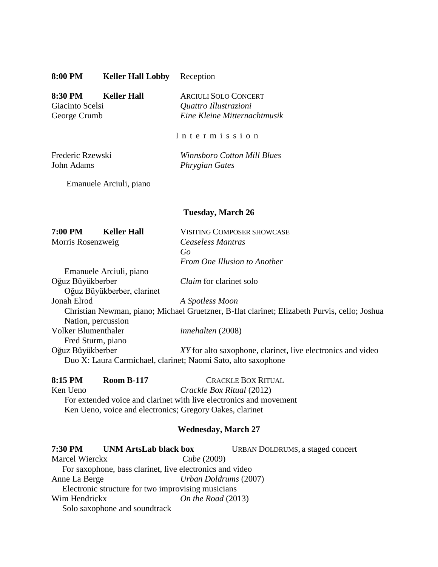| 8:00 PM | <b>Keller Hall Lobby</b> | Reception |
|---------|--------------------------|-----------|
|---------|--------------------------|-----------|

**8:30 PM Keller Hall** ARCIULI SOLO CONCERT Giacinto Scelsi *Quattro Illustrazioni* George Crumb *Eine Kleine Mitternachtmusik*

I n t e r m i s s i o n

Frederic Rzewski *Winnsboro Cotton Mill Blues* John Adams *Phrygian Gates*

Emanuele Arciuli, piano

## **Tuesday, March 26**

| <b>7:00 PM</b><br><b>Keller Hall</b>                          | <b>VISITING COMPOSER SHOWCASE</b>                                                            |
|---------------------------------------------------------------|----------------------------------------------------------------------------------------------|
| Morris Rosenzweig                                             | Ceaseless Mantras                                                                            |
|                                                               | Go                                                                                           |
|                                                               | From One Illusion to Another                                                                 |
| Emanuele Arciuli, piano                                       |                                                                                              |
| Oğuz Büyükberber                                              | <i>Claim</i> for clarinet solo                                                               |
| Oğuz Büyükberber, clarinet                                    |                                                                                              |
| Jonah Elrod                                                   | A Spotless Moon                                                                              |
|                                                               | Christian Newman, piano; Michael Gruetzner, B-flat clarinet; Elizabeth Purvis, cello; Joshua |
| Nation, percussion                                            |                                                                                              |
| <b>Volker Blumenthaler</b>                                    | <i>innehalten</i> (2008)                                                                     |
| Fred Sturm, piano                                             |                                                                                              |
| Oğuz Büyükberber                                              | XY for alto saxophone, clarinet, live electronics and video                                  |
| Duo X: Laura Carmichael, clarinet; Naomi Sato, alto saxophone |                                                                                              |

#### **8:15 PM Room B-117** CRACKLE BOX RITUAL

Ken Ueno *Crackle Box Ritual* (2012) For extended voice and clarinet with live electronics and movement Ken Ueno, voice and electronics; Gregory Oakes, clarinet

# **Wednesday, March 27**

**7:30 PM UNM ArtsLab black box** URBAN DOLDRUMS, a staged concert Marcel Wierckx *Cube* (2009) For saxophone, bass clarinet, live electronics and video Anne La Berge *Urban Doldrums* (2007) Electronic structure for two improvising musicians Wim Hendrickx *On the Road* (2013) Solo saxophone and soundtrack